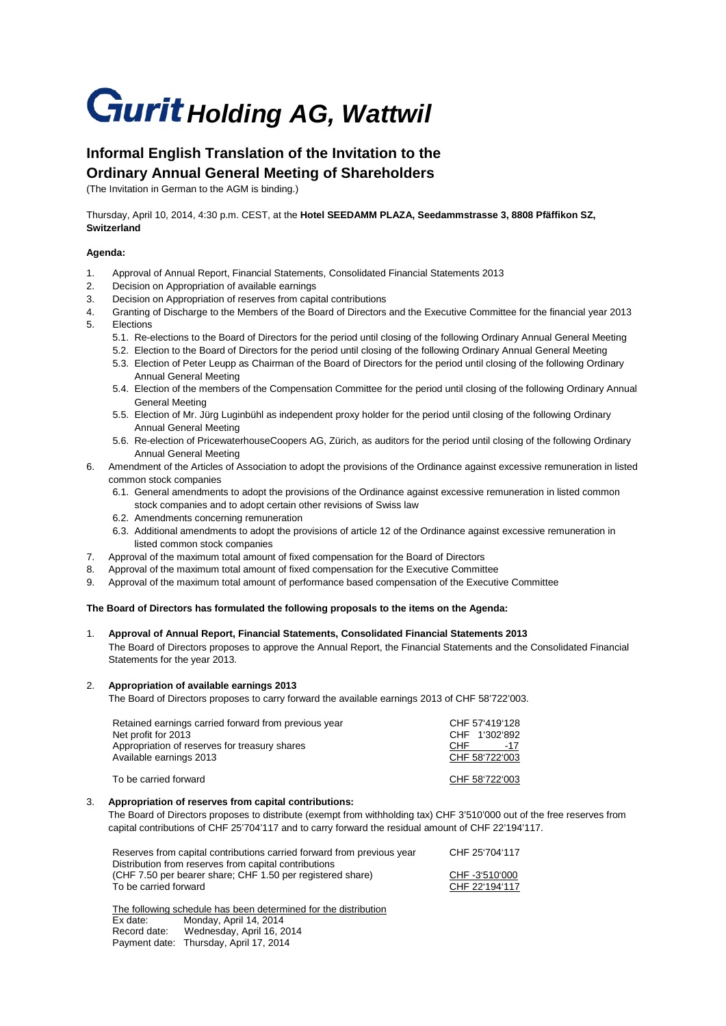# **Gurit Holding AG, Wattwil**

# **Informal English Translation of the Invitation to the Ordinary Annual General Meeting of Shareholders**

(The Invitation in German to the AGM is binding.)

Thursday, April 10, 2014, 4:30 p.m. CEST, at the **Hotel SEEDAMM PLAZA, Seedammstrasse 3, 8808 Pfäffikon SZ, Switzerland**

## **Agenda:**

- 1. Approval of Annual Report, Financial Statements, Consolidated Financial Statements 2013
- 2. Decision on Appropriation of available earnings
- 3. Decision on Appropriation of reserves from capital contributions
- 4. Granting of Discharge to the Members of the Board of Directors and the Executive Committee for the financial year 2013 5. Elections
	- 5.1. Re-elections to the Board of Directors for the period until closing of the following Ordinary Annual General Meeting
	- 5.2. Election to the Board of Directors for the period until closing of the following Ordinary Annual General Meeting
	- 5.3. Election of Peter Leupp as Chairman of the Board of Directors for the period until closing of the following Ordinary Annual General Meeting
	- 5.4. Election of the members of the Compensation Committee for the period until closing of the following Ordinary Annual General Meeting
	- 5.5. Election of Mr. Jürg Luginbühl as independent proxy holder for the period until closing of the following Ordinary Annual General Meeting
	- 5.6. Re-election of PricewaterhouseCoopers AG, Zürich, as auditors for the period until closing of the following Ordinary Annual General Meeting

#### 6. Amendment of the Articles of Association to adopt the provisions of the Ordinance against excessive remuneration in listed common stock companies

- 6.1. General amendments to adopt the provisions of the Ordinance against excessive remuneration in listed common stock companies and to adopt certain other revisions of Swiss law
- 6.2. Amendments concerning remuneration
- 6.3. Additional amendments to adopt the provisions of article 12 of the Ordinance against excessive remuneration in listed common stock companies
- 7. Approval of the maximum total amount of fixed compensation for the Board of Directors
- 8. Approval of the maximum total amount of fixed compensation for the Executive Committee
- 9. Approval of the maximum total amount of performance based compensation of the Executive Committee

#### **The Board of Directors has formulated the following proposals to the items on the Agenda:**

## 1. **Approval of Annual Report, Financial Statements, Consolidated Financial Statements 2013**

The Board of Directors proposes to approve the Annual Report, the Financial Statements and the Consolidated Financial Statements for the year 2013.

#### 2. **Appropriation of available earnings 2013**

The Board of Directors proposes to carry forward the available earnings 2013 of CHF 58'722'003.

| Retained earnings carried forward from previous year<br>Net profit for 2013<br>Appropriation of reserves for treasury shares<br>Available earnings 2013 | CHF 57'419'128<br>CHF 1'302'892<br>CHE<br>$-17$<br>CHF 58'722'003 |
|---------------------------------------------------------------------------------------------------------------------------------------------------------|-------------------------------------------------------------------|
| To be carried forward                                                                                                                                   | CHF 58'722'003                                                    |

#### 3. **Appropriation of reserves from capital contributions:**

The Board of Directors proposes to distribute (exempt from withholding tax) CHF 3'510'000 out of the free reserves from capital contributions of CHF 25'704'117 and to carry forward the residual amount of CHF 22'194'117.

| Reserves from capital contributions carried forward from previous year | CHF 25'704'117 |
|------------------------------------------------------------------------|----------------|
| Distribution from reserves from capital contributions                  |                |
| (CHF 7.50 per bearer share; CHF 1.50 per registered share)             | CHF-3'510'000  |
| To be carried forward                                                  | CHF 22'194'117 |
|                                                                        |                |

The following schedule has been determined for the distribution<br>Ex date: Monday April 14, 2014 Ex date: Monday, April 14, 2014<br>Record date: Wednesday April 16, 2 Wednesday, April 16, 2014 Payment date: Thursday, April 17, 2014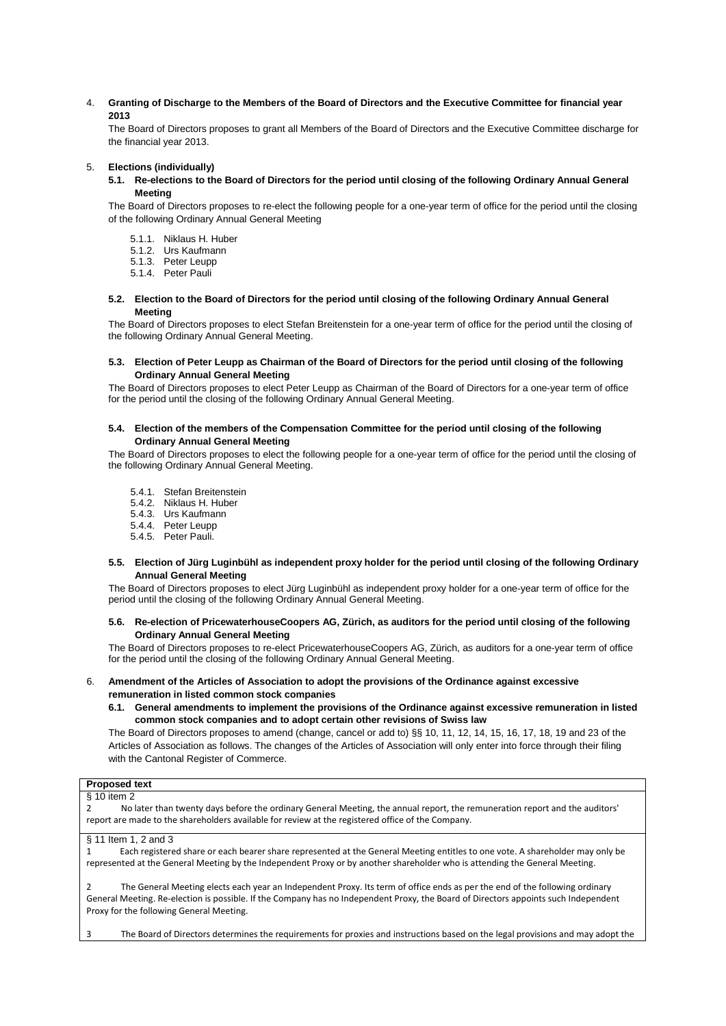4. **Granting of Discharge to the Members of the Board of Directors and the Executive Committee for financial year 2013**

The Board of Directors proposes to grant all Members of the Board of Directors and the Executive Committee discharge for the financial year 2013.

#### 5. **Elections (individually)**

**5.1. Re-elections to the Board of Directors for the period until closing of the following Ordinary Annual General Meeting**

The Board of Directors proposes to re-elect the following people for a one-year term of office for the period until the closing of the following Ordinary Annual General Meeting

- 5.1.1. Niklaus H. Huber
- 5.1.2. Urs Kaufmann
- 5.1.3. Peter Leupp
- 5.1.4. Peter Pauli
- **5.2. Election to the Board of Directors for the period until closing of the following Ordinary Annual General Meeting**

The Board of Directors proposes to elect Stefan Breitenstein for a one-year term of office for the period until the closing of the following Ordinary Annual General Meeting.

#### **5.3. Election of Peter Leupp as Chairman of the Board of Directors for the period until closing of the following Ordinary Annual General Meeting**

The Board of Directors proposes to elect Peter Leupp as Chairman of the Board of Directors for a one-year term of office for the period until the closing of the following Ordinary Annual General Meeting.

#### **5.4. Election of the members of the Compensation Committee for the period until closing of the following Ordinary Annual General Meeting**

The Board of Directors proposes to elect the following people for a one-year term of office for the period until the closing of the following Ordinary Annual General Meeting.

- 5.4.1. Stefan Breitenstein
- 5.4.2. Niklaus H. Huber
- 5.4.3. Urs Kaufmann
- 5.4.4. Peter Leupp
- 5.4.5. Peter Pauli.

#### **5.5. Election of Jürg Luginbühl as independent proxy holder for the period until closing of the following Ordinary Annual General Meeting**

The Board of Directors proposes to elect Jürg Luginbühl as independent proxy holder for a one-year term of office for the period until the closing of the following Ordinary Annual General Meeting.

#### **5.6. Re-election of PricewaterhouseCoopers AG, Zürich, as auditors for the period until closing of the following Ordinary Annual General Meeting**

The Board of Directors proposes to re-elect PricewaterhouseCoopers AG, Zürich, as auditors for a one-year term of office for the period until the closing of the following Ordinary Annual General Meeting.

#### 6. **Amendment of the Articles of Association to adopt the provisions of the Ordinance against excessive remuneration in listed common stock companies**

**6.1. General amendments to implement the provisions of the Ordinance against excessive remuneration in listed common stock companies and to adopt certain other revisions of Swiss law**

The Board of Directors proposes to amend (change, cancel or add to) §§ 10, 11, 12, 14, 15, 16, 17, 18, 19 and 23 of the Articles of Association as follows. The changes of the Articles of Association will only enter into force through their filing with the Cantonal Register of Commerce.

# **Proposed text**

§ 10 item 2 2 No later than twenty days before the ordinary General Meeting, the annual report, the remuneration report and the auditors' report are made to the shareholders available for review at the registered office of the Company. § 11 Item 1, 2 and 3 Each registered share or each bearer share represented at the General Meeting entitles to one vote. A shareholder may only be represented at the General Meeting by the Independent Proxy or by another shareholder who is attending the General Meeting. 2 The General Meeting elects each year an Independent Proxy. Its term of office ends as per the end of the following ordinary General Meeting. Re-election is possible. If the Company has no Independent Proxy, the Board of Directors appoints such Independent Proxy for the following General Meeting.

3 The Board of Directors determines the requirements for proxies and instructions based on the legal provisions and may adopt the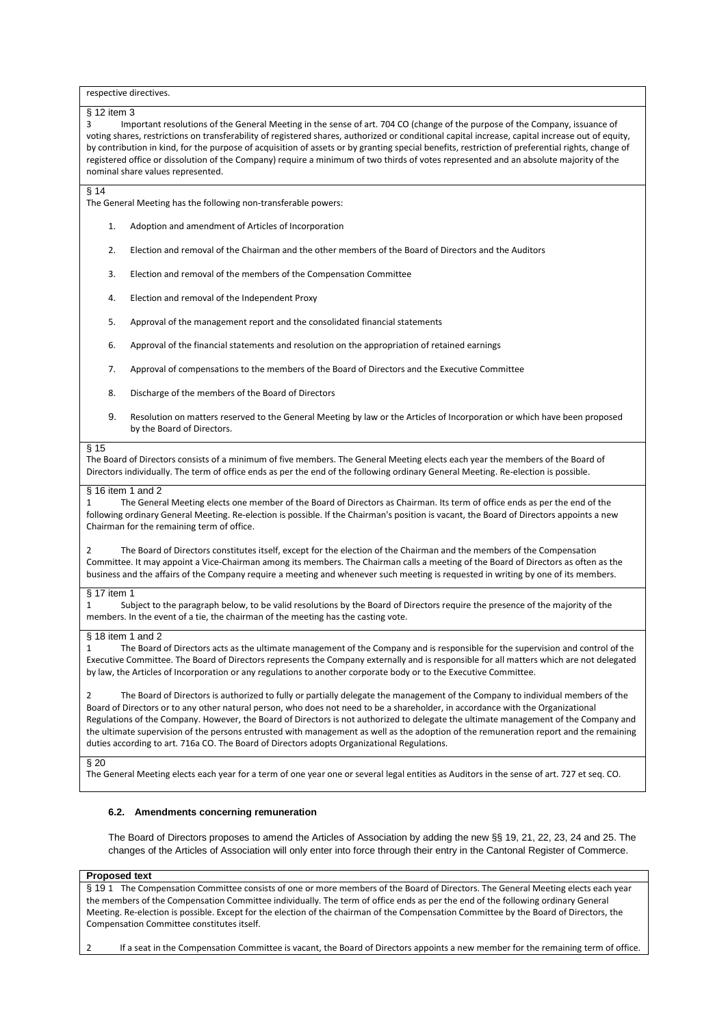respective directives.

#### § 12 item 3

3 Important resolutions of the General Meeting in the sense of art. 704 CO (change of the purpose of the Company, issuance of voting shares, restrictions on transferability of registered shares, authorized or conditional capital increase, capital increase out of equity, by contribution in kind, for the purpose of acquisition of assets or by granting special benefits, restriction of preferential rights, change of registered office or dissolution of the Company) require a minimum of two thirds of votes represented and an absolute majority of the nominal share values represented.

#### $§ 14$

The General Meeting has the following non-transferable powers:

- 1. Adoption and amendment of Articles of Incorporation
- 2. Election and removal of the Chairman and the other members of the Board of Directors and the Auditors
- 3. Election and removal of the members of the Compensation Committee
- 4. Election and removal of the Independent Proxy
- 5. Approval of the management report and the consolidated financial statements
- 6. Approval of the financial statements and resolution on the appropriation of retained earnings
- 7. Approval of compensations to the members of the Board of Directors and the Executive Committee
- 8. Discharge of the members of the Board of Directors
- 9. Resolution on matters reserved to the General Meeting by law or the Articles of Incorporation or which have been proposed by the Board of Directors.

#### § 15

The Board of Directors consists of a minimum of five members. The General Meeting elects each year the members of the Board of Directors individually. The term of office ends as per the end of the following ordinary General Meeting. Re-election is possible.

#### § 16 item 1 and 2

1 The General Meeting elects one member of the Board of Directors as Chairman. Its term of office ends as per the end of the following ordinary General Meeting. Re-election is possible. If the Chairman's position is vacant, the Board of Directors appoints a new Chairman for the remaining term of office.

The Board of Directors constitutes itself, except for the election of the Chairman and the members of the Compensation Committee. It may appoint a Vice-Chairman among its members. The Chairman calls a meeting of the Board of Directors as often as the business and the affairs of the Company require a meeting and whenever such meeting is requested in writing by one of its members.

#### § 17 item 1

1 Subject to the paragraph below, to be valid resolutions by the Board of Directors require the presence of the majority of the members. In the event of a tie, the chairman of the meeting has the casting vote.

#### § 18 item 1 and 2

1 The Board of Directors acts as the ultimate management of the Company and is responsible for the supervision and control of the Executive Committee. The Board of Directors represents the Company externally and is responsible for all matters which are not delegated by law, the Articles of Incorporation or any regulations to another corporate body or to the Executive Committee.

The Board of Directors is authorized to fully or partially delegate the management of the Company to individual members of the Board of Directors or to any other natural person, who does not need to be a shareholder, in accordance with the Organizational Regulations of the Company. However, the Board of Directors is not authorized to delegate the ultimate management of the Company and the ultimate supervision of the persons entrusted with management as well as the adoption of the remuneration report and the remaining duties according to art. 716a CO. The Board of Directors adopts Organizational Regulations.

§ 20

The General Meeting elects each year for a term of one year one or several legal entities as Auditors in the sense of art. 727 et seq. CO.

#### **6.2. Amendments concerning remuneration**

The Board of Directors proposes to amend the Articles of Association by adding the new §§ 19, 21, 22, 23, 24 and 25. The changes of the Articles of Association will only enter into force through their entry in the Cantonal Register of Commerce.

**Proposed text**  § 19 1 The Compensation Committee consists of one or more members of the Board of Directors. The General Meeting elects each year the members of the Compensation Committee individually. The term of office ends as per the end of the following ordinary General Meeting. Re-election is possible. Except for the election of the chairman of the Compensation Committee by the Board of Directors, the Compensation Committee constitutes itself.

If a seat in the Compensation Committee is vacant, the Board of Directors appoints a new member for the remaining term of office.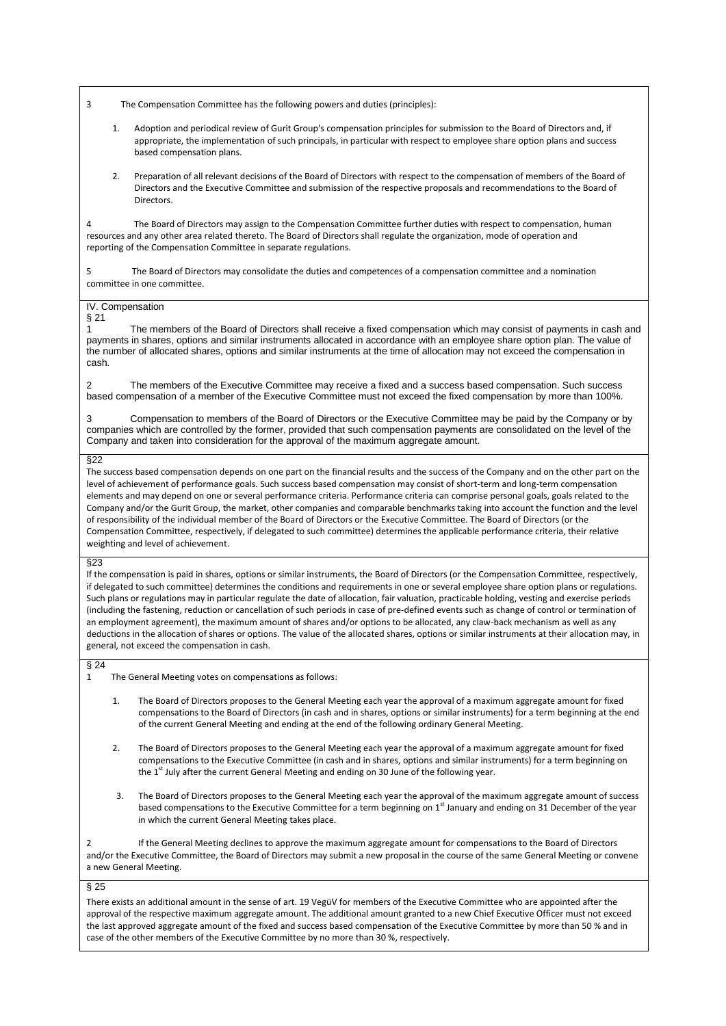3 The Compensation Committee has the following powers and duties (principles):

- 1. Adoption and periodical review of Gurit Group's compensation principles for submission to the Board of Directors and, if appropriate, the implementation of such principals, in particular with respect to employee share option plans and success based compensation plans.
- 2. Preparation of all relevant decisions of the Board of Directors with respect to the compensation of members of the Board of Directors and the Executive Committee and submission of the respective proposals and recommendations to the Board of **Directors**

4 The Board of Directors may assign to the Compensation Committee further duties with respect to compensation, human resources and any other area related thereto. The Board of Directors shall regulate the organization, mode of operation and reporting of the Compensation Committee in separate regulations.

The Board of Directors may consolidate the duties and competences of a compensation committee and a nomination committee in one committee.

#### IV. Compensation

§ 21

1 The members of the Board of Directors shall receive a fixed compensation which may consist of payments in cash and payments in shares, options and similar instruments allocated in accordance with an employee share option plan. The value of the number of allocated shares, options and similar instruments at the time of allocation may not exceed the compensation in cash.

2 The members of the Executive Committee may receive a fixed and a success based compensation. Such success based compensation of a member of the Executive Committee must not exceed the fixed compensation by more than 100%.

3 Compensation to members of the Board of Directors or the Executive Committee may be paid by the Company or by companies which are controlled by the former, provided that such compensation payments are consolidated on the level of the Company and taken into consideration for the approval of the maximum aggregate amount.

#### §22

The success based compensation depends on one part on the financial results and the success of the Company and on the other part on the level of achievement of performance goals. Such success based compensation may consist of short-term and long-term compensation elements and may depend on one or several performance criteria. Performance criteria can comprise personal goals, goals related to the Company and/or the Gurit Group, the market, other companies and comparable benchmarks taking into account the function and the level of responsibility of the individual member of the Board of Directors or the Executive Committee. The Board of Directors (or the Compensation Committee, respectively, if delegated to such committee) determines the applicable performance criteria, their relative weighting and level of achievement.

#### §23

If the compensation is paid in shares, options or similar instruments, the Board of Directors (or the Compensation Committee, respectively, if delegated to such committee) determines the conditions and requirements in one or several employee share option plans or regulations. Such plans or regulations may in particular regulate the date of allocation, fair valuation, practicable holding, vesting and exercise periods (including the fastening, reduction or cancellation of such periods in case of pre-defined events such as change of control or termination of an employment agreement), the maximum amount of shares and/or options to be allocated, any claw-back mechanism as well as any deductions in the allocation of shares or options. The value of the allocated shares, options or similar instruments at their allocation may, in general, not exceed the compensation in cash.

# $\int_{1}^{5} 24$

The General Meeting votes on compensations as follows:

- The Board of Directors proposes to the General Meeting each year the approval of a maximum aggregate amount for fixed compensations to the Board of Directors (in cash and in shares, options or similar instruments) for a term beginning at the end of the current General Meeting and ending at the end of the following ordinary General Meeting.
- 2. The Board of Directors proposes to the General Meeting each year the approval of a maximum aggregate amount for fixed compensations to the Executive Committee (in cash and in shares, options and similar instruments) for a term beginning on the 1<sup>st</sup> July after the current General Meeting and ending on 30 June of the following year.
- 3. The Board of Directors proposes to the General Meeting each year the approval of the maximum aggregate amount of success based compensations to the Executive Committee for a term beginning on 1<sup>st</sup> January and ending on 31 December of the year in which the current General Meeting takes place.

2 If the General Meeting declines to approve the maximum aggregate amount for compensations to the Board of Directors and/or the Executive Committee, the Board of Directors may submit a new proposal in the course of the same General Meeting or convene a new General Meeting.

# § 25

There exists an additional amount in the sense of art. 19 VegüV for members of the Executive Committee who are appointed after the approval of the respective maximum aggregate amount. The additional amount granted to a new Chief Executive Officer must not exceed the last approved aggregate amount of the fixed and success based compensation of the Executive Committee by more than 50 % and in case of the other members of the Executive Committee by no more than 30 %, respectively.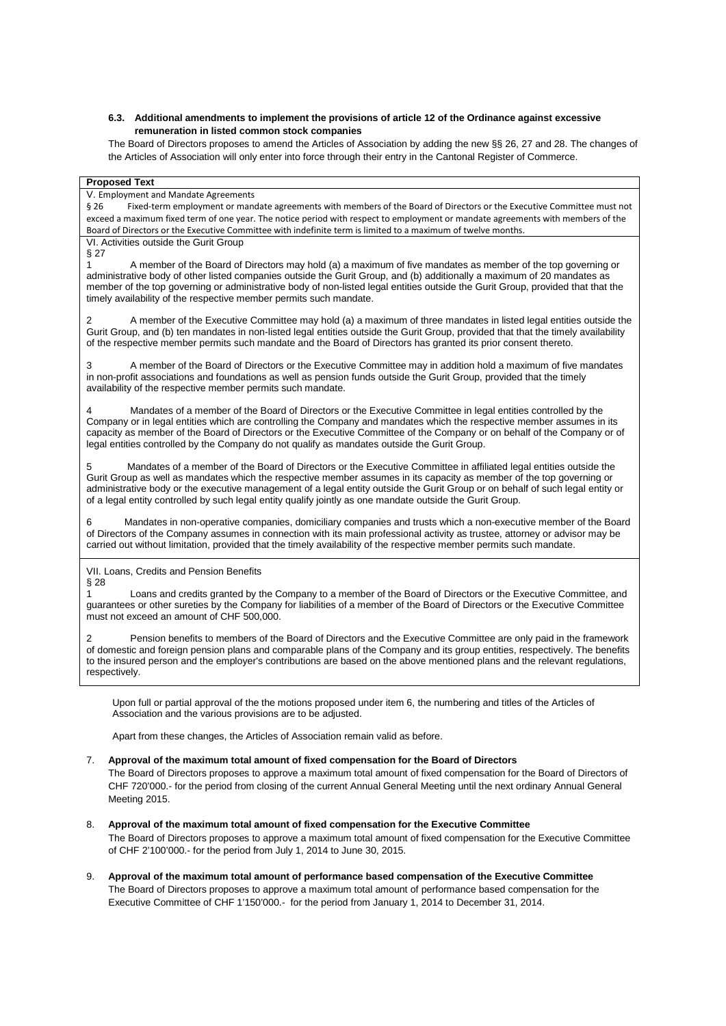#### **6.3. Additional amendments to implement the provisions of article 12 of the Ordinance against excessive remuneration in listed common stock companies**

The Board of Directors proposes to amend the Articles of Association by adding the new §§ 26, 27 and 28. The changes of the Articles of Association will only enter into force through their entry in the Cantonal Register of Commerce.

#### **Proposed Text**

## V. Employment and Mandate Agreements

§ 26 Fixed-term employment or mandate agreements with members of the Board of Directors or the Executive Committee must not exceed a maximum fixed term of one year. The notice period with respect to employment or mandate agreements with members of the Board of Directors or the Executive Committee with indefinite term is limited to a maximum of twelve months. VI. Activities outside the Gurit Group

§ 27

1 A member of the Board of Directors may hold (a) a maximum of five mandates as member of the top governing or administrative body of other listed companies outside the Gurit Group, and (b) additionally a maximum of 20 mandates as member of the top governing or administrative body of non-listed legal entities outside the Gurit Group, provided that that the timely availability of the respective member permits such mandate.

2 A member of the Executive Committee may hold (a) a maximum of three mandates in listed legal entities outside the Gurit Group, and (b) ten mandates in non-listed legal entities outside the Gurit Group, provided that that the timely availability of the respective member permits such mandate and the Board of Directors has granted its prior consent thereto.

3 A member of the Board of Directors or the Executive Committee may in addition hold a maximum of five mandates in non-profit associations and foundations as well as pension funds outside the Gurit Group, provided that the timely availability of the respective member permits such mandate.

4 Mandates of a member of the Board of Directors or the Executive Committee in legal entities controlled by the Company or in legal entities which are controlling the Company and mandates which the respective member assumes in its capacity as member of the Board of Directors or the Executive Committee of the Company or on behalf of the Company or of legal entities controlled by the Company do not qualify as mandates outside the Gurit Group.

5 Mandates of a member of the Board of Directors or the Executive Committee in affiliated legal entities outside the Gurit Group as well as mandates which the respective member assumes in its capacity as member of the top governing or administrative body or the executive management of a legal entity outside the Gurit Group or on behalf of such legal entity or of a legal entity controlled by such legal entity qualify jointly as one mandate outside the Gurit Group.

6 Mandates in non-operative companies, domiciliary companies and trusts which a non-executive member of the Board of Directors of the Company assumes in connection with its main professional activity as trustee, attorney or advisor may be carried out without limitation, provided that the timely availability of the respective member permits such mandate.

VII. Loans, Credits and Pension Benefits § 28

Loans and credits granted by the Company to a member of the Board of Directors or the Executive Committee, and guarantees or other sureties by the Company for liabilities of a member of the Board of Directors or the Executive Committee must not exceed an amount of CHF 500,000.

Pension benefits to members of the Board of Directors and the Executive Committee are only paid in the framework of domestic and foreign pension plans and comparable plans of the Company and its group entities, respectively. The benefits to the insured person and the employer's contributions are based on the above mentioned plans and the relevant regulations, respectively.

Upon full or partial approval of the the motions proposed under item 6, the numbering and titles of the Articles of Association and the various provisions are to be adjusted.

Apart from these changes, the Articles of Association remain valid as before.

7. **Approval of the maximum total amount of fixed compensation for the Board of Directors** The Board of Directors proposes to approve a maximum total amount of fixed compensation for the Board of Directors of CHF 720'000.- for the period from closing of the current Annual General Meeting until the next ordinary Annual General Meeting 2015.

- 8. **Approval of the maximum total amount of fixed compensation for the Executive Committee** The Board of Directors proposes to approve a maximum total amount of fixed compensation for the Executive Committee of CHF 2'100'000.- for the period from July 1, 2014 to June 30, 2015.
- 9. **Approval of the maximum total amount of performance based compensation of the Executive Committee** The Board of Directors proposes to approve a maximum total amount of performance based compensation for the Executive Committee of CHF 1'150'000.- for the period from January 1, 2014 to December 31, 2014.